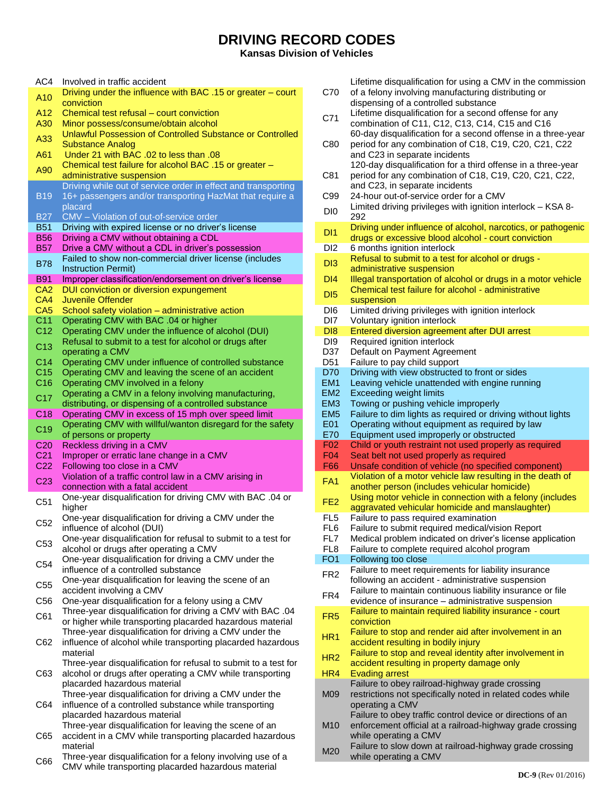## **DRIVING RECORD CODES**

**Kansas Division of Vehicles**

| AC4                      | Involved in traffic accident                                                                                       |
|--------------------------|--------------------------------------------------------------------------------------------------------------------|
| A <sub>10</sub>          | Driving under the influence with BAC .15 or greater – court                                                        |
|                          | conviction                                                                                                         |
| A12                      | Chemical test refusal – court conviction                                                                           |
| A30                      | Minor possess/consume/obtain alcohol<br>Unlawful Possession of Controlled Substance or Controlled                  |
| A33                      | <b>Substance Analog</b>                                                                                            |
| A61                      | Under 21 with BAC .02 to less than .08                                                                             |
|                          | Chemical test failure for alcohol BAC .15 or greater -                                                             |
| A90                      | administrative suspension                                                                                          |
|                          | Driving while out of service order in effect and transporting                                                      |
| <b>B19</b>               | 16+ passengers and/or transporting HazMat that require a                                                           |
|                          | placard                                                                                                            |
| <b>B27</b>               | CMV - Violation of out-of-service order                                                                            |
| <b>B51</b><br><b>B56</b> | Driving with expired license or no driver's license<br>Driving a CMV without obtaining a CDL                       |
| <b>B57</b>               | Drive a CMV without a CDL in driver's possession                                                                   |
|                          | Failed to show non-commercial driver license (includes                                                             |
| <b>B78</b>               | <b>Instruction Permit)</b>                                                                                         |
| <b>B91</b>               | Improper classification/endorsement on driver's license                                                            |
| CA <sub>2</sub>          | DUI conviction or diversion expungement                                                                            |
| CA4                      | Juvenile Offender                                                                                                  |
| CA <sub>5</sub>          | School safety violation - administrative action                                                                    |
| C <sub>11</sub>          | Operating CMV with BAC .04 or higher                                                                               |
| C <sub>12</sub>          | Operating CMV under the influence of alcohol (DUI)<br>Refusal to submit to a test for alcohol or drugs after       |
| C <sub>13</sub>          | operating a CMV                                                                                                    |
| C <sub>14</sub>          | Operating CMV under influence of controlled substance                                                              |
| C <sub>15</sub>          | Operating CMV and leaving the scene of an accident                                                                 |
| C <sub>16</sub>          | Operating CMV involved in a felony                                                                                 |
| C <sub>17</sub>          | Operating a CMV in a felony involving manufacturing,                                                               |
|                          | distributing, or dispensing of a controlled substance                                                              |
| C18                      | Operating CMV in excess of 15 mph over speed limit                                                                 |
| C <sub>19</sub>          | Operating CMV with willful/wanton disregard for the safety                                                         |
|                          |                                                                                                                    |
|                          | of persons or property                                                                                             |
| C <sub>20</sub>          | Reckless driving in a CMV                                                                                          |
| C <sub>21</sub>          | Improper or erratic lane change in a CMV                                                                           |
| C <sub>22</sub>          | Following too close in a CMV                                                                                       |
| C <sub>23</sub>          | Violation of a traffic control law in a CMV arising in<br>connection with a fatal accident                         |
|                          | One-year disqualification for driving CMV with BAC .04 or                                                          |
| C51                      | higher                                                                                                             |
| C <sub>52</sub>          | One-year disqualification for driving a CMV under the                                                              |
|                          | influence of alcohol (DUI)                                                                                         |
| C <sub>53</sub>          | One-year disqualification for refusal to submit to a test for                                                      |
|                          | alcohol or drugs after operating a CMV                                                                             |
| C <sub>54</sub>          | One-year disqualification for driving a CMV under the                                                              |
|                          | influence of a controlled substance<br>One-year disqualification for leaving the scene of an                       |
| C <sub>55</sub>          | accident involving a CMV                                                                                           |
| C <sub>56</sub>          | One-year disqualification for a felony using a CMV                                                                 |
|                          | Three-year disqualification for driving a CMV with BAC .04                                                         |
| C61                      | or higher while transporting placarded hazardous material                                                          |
|                          | Three-year disqualification for driving a CMV under the                                                            |
| C62                      | influence of alcohol while transporting placarded hazardous                                                        |
|                          | material                                                                                                           |
|                          | Three-year disqualification for refusal to submit to a test for                                                    |
| C63                      | alcohol or drugs after operating a CMV while transporting                                                          |
|                          | placarded hazardous material                                                                                       |
| C64                      | Three-year disqualification for driving a CMV under the                                                            |
|                          | influence of a controlled substance while transporting<br>placarded hazardous material                             |
|                          | Three-year disqualification for leaving the scene of an                                                            |
| C65                      | accident in a CMV while transporting placarded hazardous                                                           |
|                          | material                                                                                                           |
| C66                      | Three-year disqualification for a felony involving use of a<br>CMV while transporting placarded hazardous material |

| C70                    | Lifetime disqualification for using a CMV in the commission<br>of a felony involving manufacturing distributing or<br>dispensing of a controlled substance |
|------------------------|------------------------------------------------------------------------------------------------------------------------------------------------------------|
| C71                    | Lifetime disqualification for a second offense for any<br>combination of C11, C12, C13, C14, C15 and C16                                                   |
| C80                    | 60-day disqualification for a second offense in a three-year<br>period for any combination of C18, C19, C20, C21, C22<br>and C23 in separate incidents     |
| C81                    | 120-day disqualification for a third offense in a three-year<br>period for any combination of C18, C19, C20, C21, C22,<br>and C23, in separate incidents   |
| C99                    | 24-hour out-of-service order for a CMV                                                                                                                     |
| D <sub>I0</sub>        | Limited driving privileges with ignition interlock - KSA 8-<br>292                                                                                         |
| DI1                    | Driving under influence of alcohol, narcotics, or pathogenic                                                                                               |
| DI2                    | drugs or excessive blood alcohol - court conviction<br>6 months ignition interlock                                                                         |
| DI3                    | Refusal to submit to a test for alcohol or drugs -                                                                                                         |
|                        | administrative suspension                                                                                                                                  |
| DI4<br>DI5             | Illegal transportation of alcohol or drugs in a motor vehicle<br>Chemical test failure for alcohol - administrative                                        |
| DI6                    | suspension                                                                                                                                                 |
| DI7                    | Limited driving privileges with ignition interlock<br>Voluntary ignition interlock                                                                         |
| DI8                    | <b>Entered diversion agreement after DUI arrest</b>                                                                                                        |
| D <sub>19</sub>        | Required ignition interlock                                                                                                                                |
| D37                    | Default on Payment Agreement                                                                                                                               |
| D <sub>51</sub><br>D70 | Failure to pay child support                                                                                                                               |
| EM <sub>1</sub>        | Driving with view obstructed to front or sides<br>Leaving vehicle unattended with engine running                                                           |
| EM <sub>2</sub>        | <b>Exceeding weight limits</b>                                                                                                                             |
| EM <sub>3</sub>        | Towing or pushing vehicle improperly                                                                                                                       |
| EM <sub>5</sub>        | Failure to dim lights as required or driving without lights                                                                                                |
| E01                    | Operating without equipment as required by law                                                                                                             |
| E70                    | Equipment used improperly or obstructed                                                                                                                    |
| <b>F02</b>             | Child or youth restraint not used properly as required                                                                                                     |
| F <sub>04</sub>        | Seat belt not used properly as required                                                                                                                    |
| F66                    | Unsafe condition of vehicle (no specified component)<br>Violation of a motor vehicle law resulting in the death of                                         |
| FA <sub>1</sub>        | another person (includes vehicular homicide)<br>Using motor vehicle in connection with a felony (includes                                                  |
| FE <sub>2</sub>        | aggravated vehicular homicide and manslaughter)                                                                                                            |
| FL <sub>5</sub>        | Failure to pass required examination                                                                                                                       |
| FL <sub>6</sub>        | Failure to submit required medical/vision Report                                                                                                           |
| FL7                    | Medical problem indicated on driver's license application                                                                                                  |
| FL <sub>8</sub>        | Failure to complete required alcohol program                                                                                                               |
| FO <sub>1</sub>        | Following too close                                                                                                                                        |
| FR <sub>2</sub>        | Failure to meet requirements for liability insurance<br>following an accident - administrative suspension                                                  |
| FR4                    | Failure to maintain continuous liability insurance or file<br>evidence of insurance - administrative suspension                                            |
| FR <sub>5</sub>        | Failure to maintain required liability insurance - court<br>conviction                                                                                     |
| HR <sub>1</sub>        | Failure to stop and render aid after involvement in an<br>accident resulting in bodily injury                                                              |
| HR2                    | Failure to stop and reveal identity after involvement in<br>accident resulting in property damage only                                                     |
| HR4                    | <b>Evading arrest</b>                                                                                                                                      |
| M09                    | Failure to obey railroad-highway grade crossing                                                                                                            |
|                        | restrictions not specifically noted in related codes while                                                                                                 |
|                        | operating a CMV<br>Failure to obey traffic control device or directions of an                                                                              |
| M <sub>10</sub>        | enforcement official at a railroad-highway grade crossing<br>while operating a CMV<br>Eailure to slow down at railroad-highway grade crossing              |

M20 Failure to slow down at railroad-highway grade crossing while operating a CMV